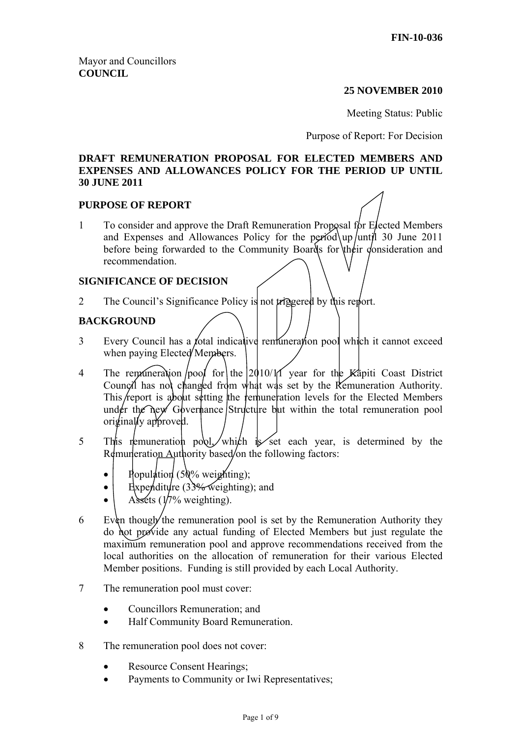#### **25 NOVEMBER 2010**

Meeting Status: Public

Purpose of Report: For Decision

#### **DRAFT REMUNERATION PROPOSAL FOR ELECTED MEMBERS AND EXPENSES AND ALLOWANCES POLICY FOR THE PERIOD UP UNTIL 30 JUNE 2011**

#### **PURPOSE OF REPORT**

1 To consider and approve the Draft Remuneration Proposal for Elected Members and Expenses and Allowances Policy for the period up until 30 June 2011 before being forwarded to the Community Boards for their consideration and recommendation.

#### **SIGNIFICANCE OF DECISION**

2 The Council's Significance Policy is not triggered by this report.

## **BACKGROUND**

- 3 Every Council has a *f*otal indicative remuneration pool which it cannot exceed when paying Elected Members.
- 4 The remuneration  $\int$ pool for the 2010/11 year for the Kapiti Coast District Council has not changed from what was set by the Remuneration Authority. This report is about setting the remuneration levels for the Elected Members under the new Governance Structure but within the total remuneration pool originally approved.
- 5 This remuneration pool, which is set each year, is determined by the Remuneration Authority based/on the following factors:
	- Population (50% weighting);
	- Expenditure (33% weighting); and
	- Assets  $(1/7%$  weighting).
- 6 Even though the remuneration pool is set by the Remuneration Authority they do not provide any actual funding of Elected Members but just regulate the maximum remuneration pool and approve recommendations received from the local authorities on the allocation of remuneration for their various Elected Member positions. Funding is still provided by each Local Authority.
- 7 The remuneration pool must cover:
	- Councillors Remuneration; and
	- Half Community Board Remuneration.
- 8 The remuneration pool does not cover:
	- Resource Consent Hearings;
	- Payments to Community or Iwi Representatives;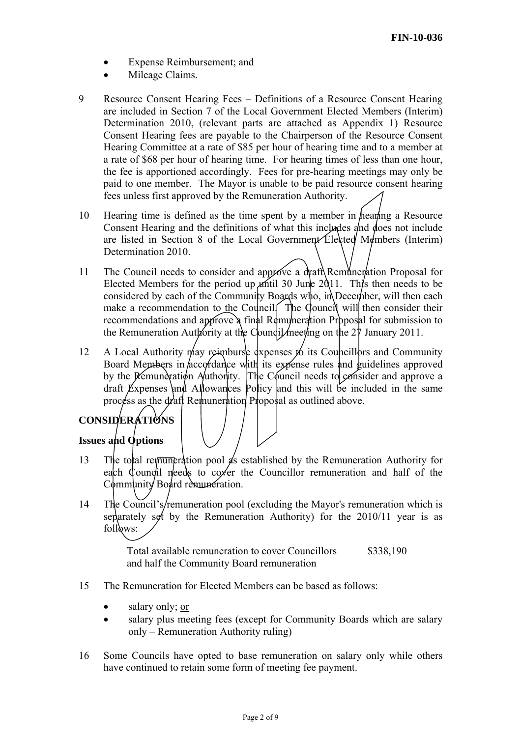- Expense Reimbursement; and
- Mileage Claims.
- 9 Resource Consent Hearing Fees Definitions of a Resource Consent Hearing are included in Section 7 of the Local Government Elected Members (Interim) Determination 2010, (relevant parts are attached as Appendix 1) Resource Consent Hearing fees are payable to the Chairperson of the Resource Consent Hearing Committee at a rate of \$85 per hour of hearing time and to a member at a rate of \$68 per hour of hearing time. For hearing times of less than one hour, the fee is apportioned accordingly. Fees for pre-hearing meetings may only be paid to one member. The Mayor is unable to be paid resource consent hearing fees unless first approved by the Remuneration Authority.
- 10 Hearing time is defined as the time spent by a member in hearing a Resource Consent Hearing and the definitions of what this includes and does not include are listed in Section 8 of the Local Government Elected Members (Interim) Determination 2010.
- 11 The Council needs to consider and approve a draft Remuneration Proposal for Elected Members for the period up antil 30 June  $2011$ . This then needs to be considered by each of the Community Boards who, in December, will then each make a recommendation to the Council. The Council will then consider their recommendations and approve a final Remuneration Proposal for submission to the Remuneration Authority at the Council meeting on the  $2\bar{\gamma}$  January 2011.
- 12 A Local Authority may reimburse expenses to its Councillors and Community Board Members in accordance with its expense rules and guidelines approved by the Remuneration Authority. The Council needs to consider and approve a draft Expenses and Allowances Policy and this will be included in the same process as the draft Remuneration Proposal as outlined above.

# **CONSIDERATIONS**

# **Issues and Options**

- 13 The total remuneration pool  $\oint$ s established by the Remuneration Authority for each Council needs to cover the Councillor remuneration and half of the Community Board remuneration.
- 14 The Council's/remuneration pool (excluding the Mayor's remuneration which is separately set by the Remuneration Authority) for the 2010/11 year is as follows:

Total available remuneration to cover Councillors and half the Community Board remuneration \$338,190

- 15 The Remuneration for Elected Members can be based as follows:
	- salary only; or
	- salary plus meeting fees (except for Community Boards which are salary only – Remuneration Authority ruling)
- 16 Some Councils have opted to base remuneration on salary only while others have continued to retain some form of meeting fee payment.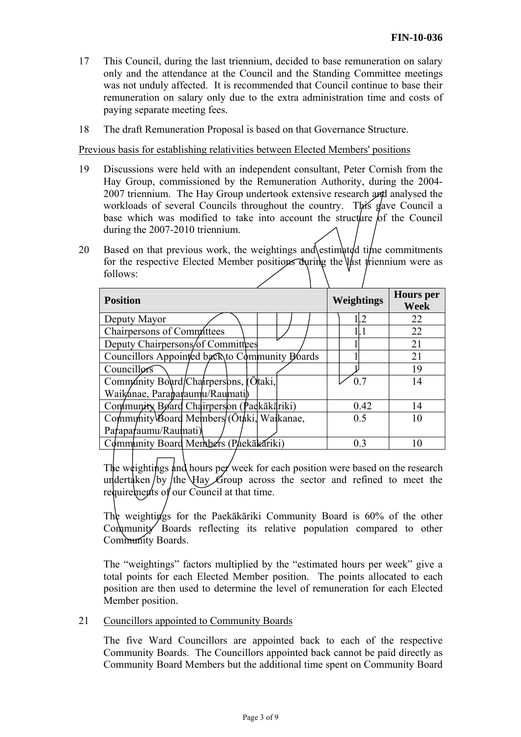- 17 This Council, during the last triennium, decided to base remuneration on salary only and the attendance at the Council and the Standing Committee meetings was not unduly affected. It is recommended that Council continue to base their remuneration on salary only due to the extra administration time and costs of paying separate meeting fees.
- 18 The draft Remuneration Proposal is based on that Governance Structure.

Previous basis for establishing relativities between Elected Members' positions

- 19 Discussions were held with an independent consultant, Peter Cornish from the Hay Group, commissioned by the Remuneration Authority, during the 2004- 2007 triennium. The Hay Group undertook extensive research and analysed the workloads of several Councils throughout the country. This gave Council a base which was modified to take into account the structure  $\delta$  the Council during the 2007-2010 triennium.
- 20 Based on that previous work, the weightings and estimated time commitments for the respective Elected Member positions during the last triennium were as follows:

| <b>Position</b>                                | Weightings     | <b>Hours</b> per<br><b>Week</b> |
|------------------------------------------------|----------------|---------------------------------|
| Deputy Mayor                                   | L <sub>2</sub> | 22                              |
| Chairpersons of Committees                     |                | 22                              |
| Deputy Chairpersons/of Committees              |                | 21                              |
| Councillors Appointed back to Community Boards |                | 21                              |
| Councillors                                    |                | 19                              |
| Community Board/Chairpersons, Otaki,           | 0 <sub>7</sub> | 14                              |
| Waikanae, Paraparaumu/Raumati)                 |                |                                 |
| Community Board Chairperson (Padkākāriki)      | 0.42           | 14                              |
| Community Board Members (Otaki, Wajkanae,      | 0.5            | 10                              |
| Paraparaumu/Raumati)                           |                |                                 |
| Community Board Members (Paekākariki)          | 0 <sup>3</sup> | 10                              |

The weightings and hours per week for each position were based on the research undertaken by the Hay Group across the sector and refined to meet the requirements of our Council at that time.

The weightings for the Paekākāriki Community Board is 60% of the other Community Boards reflecting its relative population compared to other Community Boards.

The "weightings" factors multiplied by the "estimated hours per week" give a total points for each Elected Member position. The points allocated to each position are then used to determine the level of remuneration for each Elected Member position.

21 Councillors appointed to Community Boards

The five Ward Councillors are appointed back to each of the respective Community Boards. The Councillors appointed back cannot be paid directly as Community Board Members but the additional time spent on Community Board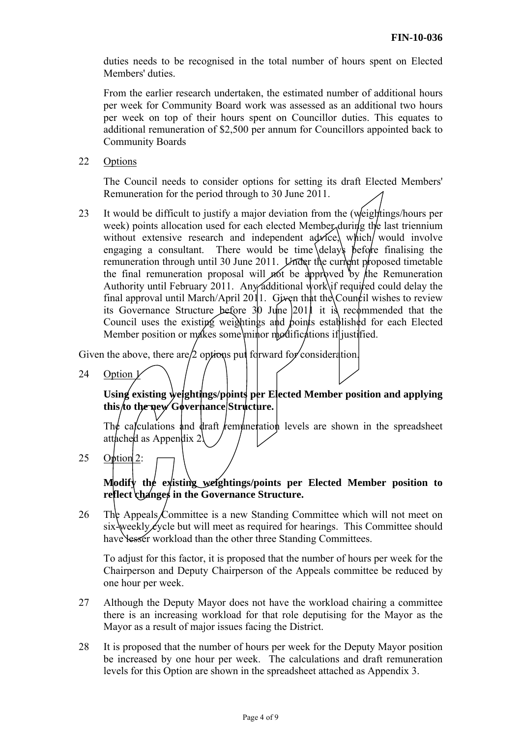duties needs to be recognised in the total number of hours spent on Elected Members' duties.

From the earlier research undertaken, the estimated number of additional hours per week for Community Board work was assessed as an additional two hours per week on top of their hours spent on Councillor duties. This equates to additional remuneration of \$2,500 per annum for Councillors appointed back to Community Boards

22 Options

The Council needs to consider options for setting its draft Elected Members' Remuneration for the period through to 30 June 2011.

23 It would be difficult to justify a major deviation from the (weightings/hours per week) points allocation used for each elected Member during the last triennium without extensive research and independent  $a\phi x\hat{i}c$ , which would involve engaging a consultant. There would be time delays  $\beta$  before finalising the remuneration through until 30 June 2011. Under the current proposed timetable the final remuneration proposal will not be approved by the Remuneration Authority until February 2011. Any additional work if required could delay the final approval until March/April 2011. Given that the Council wishes to review its Governance Structure before  $30 \text{ Ju}$  he  $|201|$  it is recommended that the Council uses the existing weightings and boints established for each Elected Member position or makes some minor modifications if justified.

Given the above, there are  $/2$  options put forward for consideration.

24 Option  $\frac{1}{2}$ 

**Using existing weightings/points per Elected Member position and applying this to the new Governance Structure.** 

The calculations and draft remuneration levels are shown in the spreadsheet attached as Appendix 2.

25 Option 2:

# **Modify the existing weightings/points per Elected Member position to**  reflect changes in the Governance Structure.

26 The Appeals Committee is a new Standing Committee which will not meet on  $six$  weekly  $\angle$  ycle but will meet as required for hearings. This Committee should have lesser workload than the other three Standing Committees.

To adjust for this factor, it is proposed that the number of hours per week for the Chairperson and Deputy Chairperson of the Appeals committee be reduced by one hour per week.

- 27 Although the Deputy Mayor does not have the workload chairing a committee there is an increasing workload for that role deputising for the Mayor as the Mayor as a result of major issues facing the District.
- 28 It is proposed that the number of hours per week for the Deputy Mayor position be increased by one hour per week. The calculations and draft remuneration levels for this Option are shown in the spreadsheet attached as Appendix 3.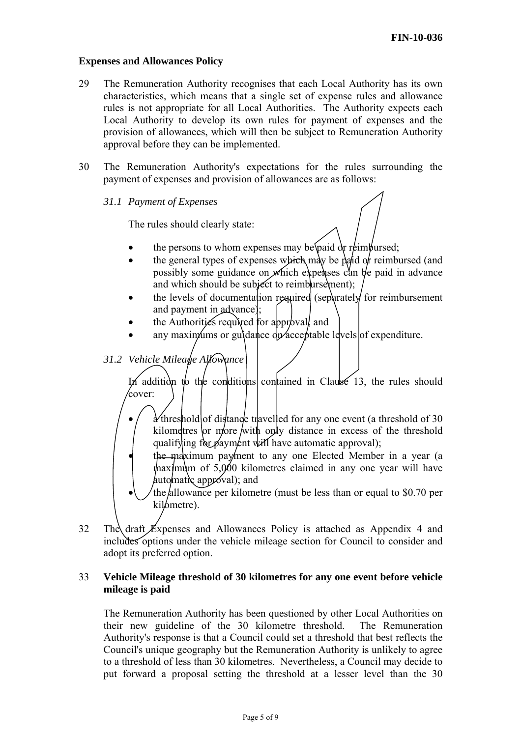#### **Expenses and Allowances Policy**

- 29 The Remuneration Authority recognises that each Local Authority has its own characteristics, which means that a single set of expense rules and allowance rules is not appropriate for all Local Authorities. The Authority expects each Local Authority to develop its own rules for payment of expenses and the provision of allowances, which will then be subject to Remuneration Authority approval before they can be implemented.
- 30 The Remuneration Authority's expectations for the rules surrounding the payment of expenses and provision of allowances are as follows:
	- *31.1 Payment of Expenses*

The rules should clearly state:

- the persons to whom expenses may be <u>paid</u> or reimbursed;
- the general types of expenses which may be paid of reimbursed (and possibly some guidance on which expenses can be paid in advance and which should be subject to reimbursement);
- the levels of documentation required (separately for reimbursement and payment in advance);
- the Authorities required for approval and
- any maximums or guidance  $dp$  acceptable levels of expenditure.
- *31.2 Vehicle Mileage Allowance*

In addition to the conditions contained in Clause 13, the rules should cover:

- $\frac{\partial}{\partial t}$  threshold of distance travelled for any one event (a threshold of 30 kilometres or more with only distance in excess of the threshold qualifying for payment will have automatic approval);
- the maximum payment to any one Elected Member in a year (a maximum of 5,000 kilometres claimed in any one year will have  $\mu$ uto matic approval); and
- the allowance per kilometre (must be less than or equal to \$0.70 per kil<sub>ometre</sub>).
- 32 The draft Expenses and Allowances Policy is attached as Appendix 4 and includes options under the vehicle mileage section for Council to consider and adopt its preferred option.

#### 33 **Vehicle Mileage threshold of 30 kilometres for any one event before vehicle mileage is paid**

The Remuneration Authority has been questioned by other Local Authorities on their new guideline of the 30 kilometre threshold. The Remuneration Authority's response is that a Council could set a threshold that best reflects the Council's unique geography but the Remuneration Authority is unlikely to agree to a threshold of less than 30 kilometres. Nevertheless, a Council may decide to put forward a proposal setting the threshold at a lesser level than the 30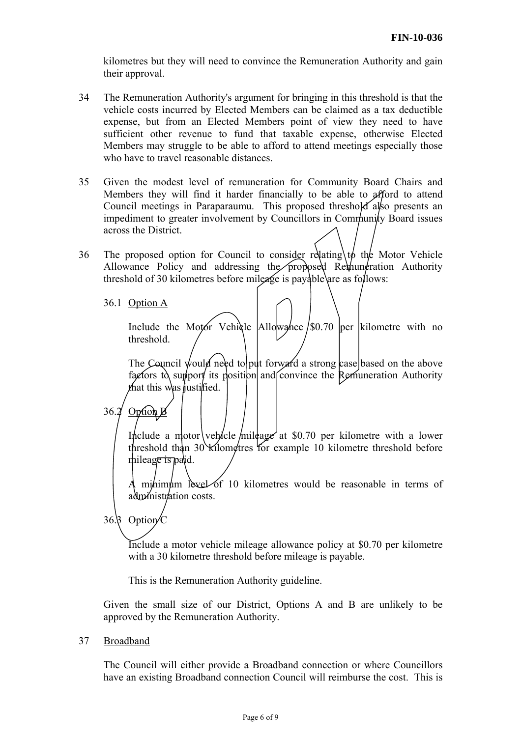kilometres but they will need to convince the Remuneration Authority and gain their approval.

- 34 The Remuneration Authority's argument for bringing in this threshold is that the vehicle costs incurred by Elected Members can be claimed as a tax deductible expense, but from an Elected Members point of view they need to have sufficient other revenue to fund that taxable expense, otherwise Elected Members may struggle to be able to afford to attend meetings especially those who have to travel reasonable distances.
- 35 Given the modest level of remuneration for Community Board Chairs and Members they will find it harder financially to be able to afford to attend Council meetings in Paraparaumu. This proposed threshold also presents an impediment to greater involvement by Councillors in Community Board issues across the District.
- 36 The proposed option for Council to consider relating  $\phi$  the Motor Vehicle Allowance Policy and addressing the proposed Remuneration Authority threshold of 30 kilometres before mileage is payable are as follows:
	- 36.1 Option A

Include the Motor Vehicle  $\Delta$ llowance  $\sin 70$  per kilometre with no threshold.

The Council would need to put forward a strong case based on the above factors to support its position and convince the Remuneration Authority that this was justified.

36.2 Option B

Include a motor vehicle mileage at \$0.70 per kilometre with a lower threshold than 30 kilometres for example 10 kilometre threshold before mileage is paid.

A minimum leve $\angle$  of 10 kilometres would be reasonable in terms of administration costs.

36. $\beta$  Option  $\sqrt{C}$ 

Include a motor vehicle mileage allowance policy at \$0.70 per kilometre with a 30 kilometre threshold before mileage is payable.

This is the Remuneration Authority guideline.

Given the small size of our District, Options A and B are unlikely to be approved by the Remuneration Authority.

37 Broadband

The Council will either provide a Broadband connection or where Councillors have an existing Broadband connection Council will reimburse the cost. This is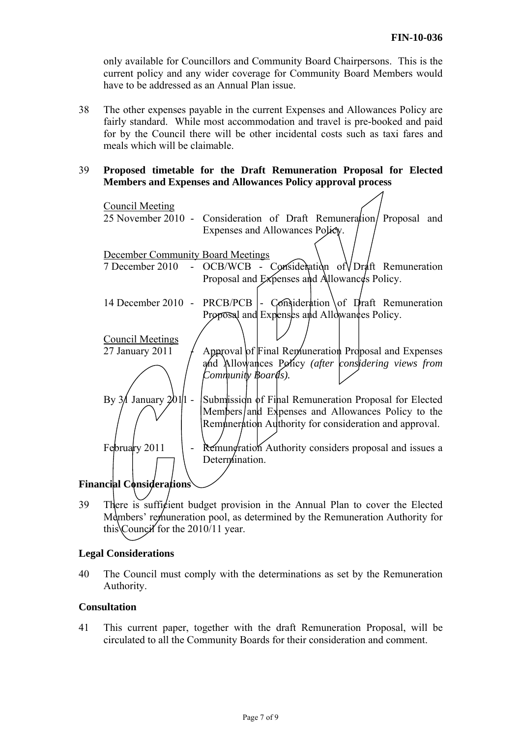$\overline{\mathcal{A}}$ 

only available for Councillors and Community Board Chairpersons. This is the current policy and any wider coverage for Community Board Members would have to be addressed as an Annual Plan issue.

38 The other expenses payable in the current Expenses and Allowances Policy are fairly standard. While most accommodation and travel is pre-booked and paid for by the Council there will be other incidental costs such as taxi fares and meals which will be claimable.

# 39 **Proposed timetable for the Draft Remuneration Proposal for Elected Members and Expenses and Allowances Policy approval process**

| <b>Council Meeting</b>                   |                                                                           |  |  |
|------------------------------------------|---------------------------------------------------------------------------|--|--|
|                                          | 25 November 2010 - Consideration of Draft Remuneration/ Proposal and      |  |  |
|                                          | Expenses and Allowances Policy.                                           |  |  |
|                                          |                                                                           |  |  |
| <b>December Community Board Meetings</b> |                                                                           |  |  |
| 7 December 2010                          | - OCB/WCB - Consideration of $\sqrt{D}$ raft Remuneration                 |  |  |
|                                          | Proposal and Expenses and Allowances Policy.                              |  |  |
|                                          |                                                                           |  |  |
|                                          | 14 December 2010 - PRCB/PCB $\vert$ - Consideration of Draft Remuneration |  |  |
|                                          | Proposal and Explenses and Allowances Policy.                             |  |  |
|                                          |                                                                           |  |  |
| <b>Council Meetings</b>                  |                                                                           |  |  |
| 27 January 2011                          | Approval of Final Remuneration Proposal and Expenses                      |  |  |
|                                          | and Allowances Policy (after considering views from                       |  |  |
|                                          | Community Boards).                                                        |  |  |
|                                          |                                                                           |  |  |
| By $3/$ January $201/1$ -                | Submission of Final Remuneration Proposal for Elected                     |  |  |
|                                          | Members/and Expenses and Allowances Policy to the                         |  |  |
|                                          | Remuneration Authority for consideration and approval.                    |  |  |
|                                          |                                                                           |  |  |
| February 2011                            | Remundration Authority considers proposal and issues a                    |  |  |
|                                          | Determination.                                                            |  |  |
|                                          |                                                                           |  |  |
| <b>Financial Considerations</b>          |                                                                           |  |  |
|                                          |                                                                           |  |  |

39 There is sufficient budget provision in the Annual Plan to cover the Elected Members' remuneration pool, as determined by the Remuneration Authority for this Council for the  $2010/11$  year.

#### **Legal Considerations**

40 The Council must comply with the determinations as set by the Remuneration Authority.

#### **Consultation**

41 This current paper, together with the draft Remuneration Proposal, will be circulated to all the Community Boards for their consideration and comment.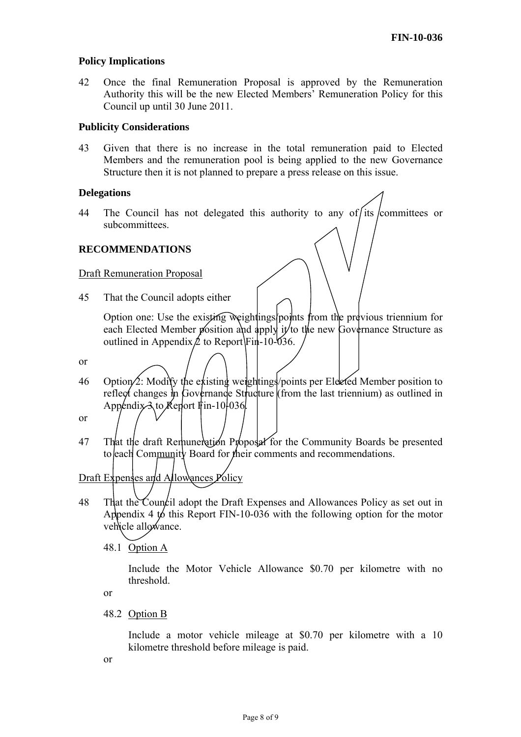#### **Policy Implications**

42 Once the final Remuneration Proposal is approved by the Remuneration Authority this will be the new Elected Members' Remuneration Policy for this Council up until 30 June 2011.

#### **Publicity Considerations**

43 Given that there is no increase in the total remuneration paid to Elected Members and the remuneration pool is being applied to the new Governance Structure then it is not planned to prepare a press release on this issue.

#### **Delegations**

44 The Council has not delegated this authority to any of its committees or subcommittees.

#### **RECOMMENDATIONS**

#### Draft Remuneration Proposal

45 That the Council adopts either

Option one: Use the existing weightings/points from the previous triennium for each Elected Member position and apply it to the new Governance Structure as outlined in Appendix  $\cancel{\mathcal{L}}$  to Report Fin-10-036.

- or
- 46 Option  $\angle$ : Modify the existing weightings/points per Elected Member position to reflect changes in Governance Structure (from the last triennium) as outlined in Appendix  $\lambda$  to Keport Fin-10-036.

or

47 That the draft Remuneration Proposal for the Community Boards be presented to each Community Board for their comments and recommendations.

# Draft Expenses and Allowances Policy

48 That the Council adopt the Draft Expenses and Allowances Policy as set out in Appendix 4 to this Report FIN-10-036 with the following option for the motor vehicle allowance.

48.1 Option A

Include the Motor Vehicle Allowance \$0.70 per kilometre with no threshold.

or

48.2 Option B

Include a motor vehicle mileage at \$0.70 per kilometre with a 10 kilometre threshold before mileage is paid.

or